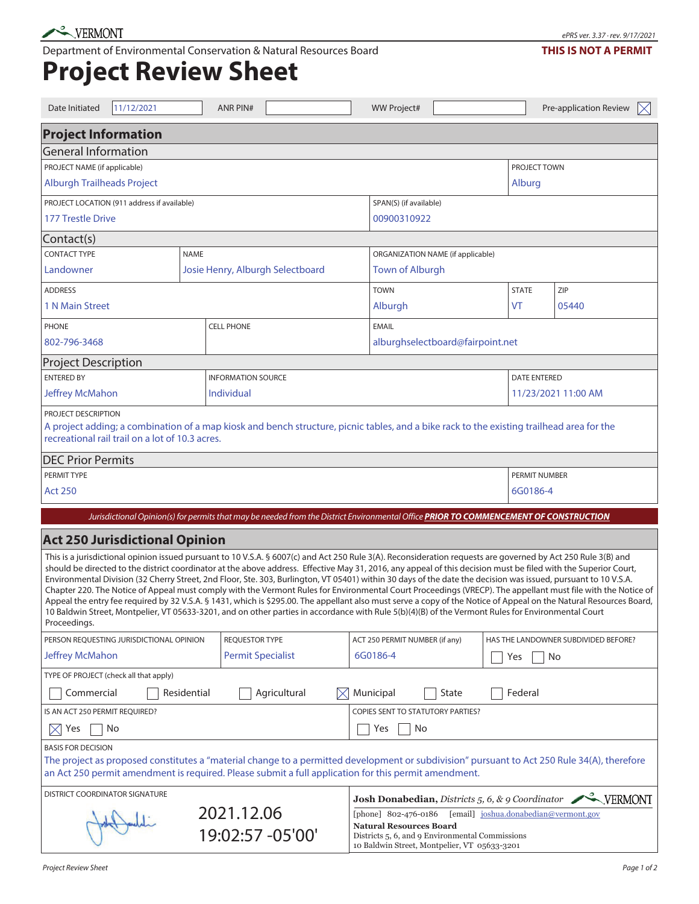Department of Environmental Conservation & Natural Resources Board

## **Project Review Sheet**

| Date Initiated                                                                                                                                                                                                                                  | 11/12/2021 |             | <b>ANR PIN#</b>                   |                                                                                                                                                    |     | <b>WW Project#</b>                                                                                                                                                                                 |       |    |                     | Pre-application Review                                                                                                                                                                                                                                                                                                                                                                                                                                                                                                                                                                                                                                                                                                                                                                                                                   | $\boxtimes$ |  |
|-------------------------------------------------------------------------------------------------------------------------------------------------------------------------------------------------------------------------------------------------|------------|-------------|-----------------------------------|----------------------------------------------------------------------------------------------------------------------------------------------------|-----|----------------------------------------------------------------------------------------------------------------------------------------------------------------------------------------------------|-------|----|---------------------|------------------------------------------------------------------------------------------------------------------------------------------------------------------------------------------------------------------------------------------------------------------------------------------------------------------------------------------------------------------------------------------------------------------------------------------------------------------------------------------------------------------------------------------------------------------------------------------------------------------------------------------------------------------------------------------------------------------------------------------------------------------------------------------------------------------------------------------|-------------|--|
| <b>Project Information</b>                                                                                                                                                                                                                      |            |             |                                   |                                                                                                                                                    |     |                                                                                                                                                                                                    |       |    |                     |                                                                                                                                                                                                                                                                                                                                                                                                                                                                                                                                                                                                                                                                                                                                                                                                                                          |             |  |
| <b>General Information</b>                                                                                                                                                                                                                      |            |             |                                   |                                                                                                                                                    |     |                                                                                                                                                                                                    |       |    |                     |                                                                                                                                                                                                                                                                                                                                                                                                                                                                                                                                                                                                                                                                                                                                                                                                                                          |             |  |
| PROJECT NAME (if applicable)                                                                                                                                                                                                                    |            |             |                                   |                                                                                                                                                    |     |                                                                                                                                                                                                    |       |    | PROJECT TOWN        |                                                                                                                                                                                                                                                                                                                                                                                                                                                                                                                                                                                                                                                                                                                                                                                                                                          |             |  |
| <b>Alburgh Trailheads Project</b>                                                                                                                                                                                                               |            |             |                                   |                                                                                                                                                    |     | Alburg                                                                                                                                                                                             |       |    |                     |                                                                                                                                                                                                                                                                                                                                                                                                                                                                                                                                                                                                                                                                                                                                                                                                                                          |             |  |
| PROJECT LOCATION (911 address if available)                                                                                                                                                                                                     |            |             |                                   |                                                                                                                                                    |     | SPAN(S) (if available)                                                                                                                                                                             |       |    |                     |                                                                                                                                                                                                                                                                                                                                                                                                                                                                                                                                                                                                                                                                                                                                                                                                                                          |             |  |
| <b>177 Trestle Drive</b>                                                                                                                                                                                                                        |            |             |                                   |                                                                                                                                                    |     | 00900310922                                                                                                                                                                                        |       |    |                     |                                                                                                                                                                                                                                                                                                                                                                                                                                                                                                                                                                                                                                                                                                                                                                                                                                          |             |  |
| Contact(s)                                                                                                                                                                                                                                      |            |             |                                   |                                                                                                                                                    |     |                                                                                                                                                                                                    |       |    |                     |                                                                                                                                                                                                                                                                                                                                                                                                                                                                                                                                                                                                                                                                                                                                                                                                                                          |             |  |
| <b>CONTACT TYPE</b><br><b>NAME</b>                                                                                                                                                                                                              |            |             |                                   |                                                                                                                                                    |     | ORGANIZATION NAME (if applicable)                                                                                                                                                                  |       |    |                     |                                                                                                                                                                                                                                                                                                                                                                                                                                                                                                                                                                                                                                                                                                                                                                                                                                          |             |  |
| Landowner                                                                                                                                                                                                                                       |            |             |                                   | Josie Henry, Alburgh Selectboard                                                                                                                   |     | <b>Town of Alburgh</b>                                                                                                                                                                             |       |    |                     |                                                                                                                                                                                                                                                                                                                                                                                                                                                                                                                                                                                                                                                                                                                                                                                                                                          |             |  |
| <b>ADDRESS</b>                                                                                                                                                                                                                                  |            |             |                                   |                                                                                                                                                    |     | <b>TOWN</b>                                                                                                                                                                                        |       |    | <b>STATE</b>        | ZIP                                                                                                                                                                                                                                                                                                                                                                                                                                                                                                                                                                                                                                                                                                                                                                                                                                      |             |  |
| 1 N Main Street                                                                                                                                                                                                                                 |            |             |                                   |                                                                                                                                                    |     | Alburgh                                                                                                                                                                                            |       | VT | 05440               |                                                                                                                                                                                                                                                                                                                                                                                                                                                                                                                                                                                                                                                                                                                                                                                                                                          |             |  |
| PHONE                                                                                                                                                                                                                                           |            |             | <b>CELL PHONE</b><br><b>EMAIL</b> |                                                                                                                                                    |     |                                                                                                                                                                                                    |       |    |                     |                                                                                                                                                                                                                                                                                                                                                                                                                                                                                                                                                                                                                                                                                                                                                                                                                                          |             |  |
| 802-796-3468                                                                                                                                                                                                                                    |            |             |                                   |                                                                                                                                                    |     | alburghselectboard@fairpoint.net                                                                                                                                                                   |       |    |                     |                                                                                                                                                                                                                                                                                                                                                                                                                                                                                                                                                                                                                                                                                                                                                                                                                                          |             |  |
| <b>Project Description</b>                                                                                                                                                                                                                      |            |             |                                   |                                                                                                                                                    |     |                                                                                                                                                                                                    |       |    |                     |                                                                                                                                                                                                                                                                                                                                                                                                                                                                                                                                                                                                                                                                                                                                                                                                                                          |             |  |
| <b>ENTERED BY</b>                                                                                                                                                                                                                               |            |             | <b>INFORMATION SOURCE</b>         |                                                                                                                                                    |     |                                                                                                                                                                                                    |       |    | <b>DATE ENTERED</b> |                                                                                                                                                                                                                                                                                                                                                                                                                                                                                                                                                                                                                                                                                                                                                                                                                                          |             |  |
| <b>Jeffrey McMahon</b>                                                                                                                                                                                                                          |            |             | Individual                        |                                                                                                                                                    |     |                                                                                                                                                                                                    |       |    | 11/23/2021 11:00 AM |                                                                                                                                                                                                                                                                                                                                                                                                                                                                                                                                                                                                                                                                                                                                                                                                                                          |             |  |
| PROJECT DESCRIPTION<br>A project adding; a combination of a map kiosk and bench structure, picnic tables, and a bike rack to the existing trailhead area for the<br>recreational rail trail on a lot of 10.3 acres.<br><b>DEC Prior Permits</b> |            |             |                                   |                                                                                                                                                    |     |                                                                                                                                                                                                    |       |    |                     |                                                                                                                                                                                                                                                                                                                                                                                                                                                                                                                                                                                                                                                                                                                                                                                                                                          |             |  |
| <b>PERMIT TYPE</b>                                                                                                                                                                                                                              |            |             |                                   |                                                                                                                                                    |     | <b>PERMIT NUMBER</b>                                                                                                                                                                               |       |    |                     |                                                                                                                                                                                                                                                                                                                                                                                                                                                                                                                                                                                                                                                                                                                                                                                                                                          |             |  |
| <b>Act 250</b>                                                                                                                                                                                                                                  |            |             |                                   |                                                                                                                                                    |     |                                                                                                                                                                                                    |       |    | 6G0186-4            |                                                                                                                                                                                                                                                                                                                                                                                                                                                                                                                                                                                                                                                                                                                                                                                                                                          |             |  |
|                                                                                                                                                                                                                                                 |            |             |                                   | Jurisdictional Opinion(s) for permits that may be needed from the District Environmental Office PRIOR TO COMMENCEMENT OF CONSTRUCTION              |     |                                                                                                                                                                                                    |       |    |                     |                                                                                                                                                                                                                                                                                                                                                                                                                                                                                                                                                                                                                                                                                                                                                                                                                                          |             |  |
| <b>Act 250 Jurisdictional Opinion</b>                                                                                                                                                                                                           |            |             |                                   |                                                                                                                                                    |     |                                                                                                                                                                                                    |       |    |                     |                                                                                                                                                                                                                                                                                                                                                                                                                                                                                                                                                                                                                                                                                                                                                                                                                                          |             |  |
| Proceedings.                                                                                                                                                                                                                                    |            |             |                                   | 10 Baldwin Street, Montpelier, VT 05633-3201, and on other parties in accordance with Rule 5(b)(4)(B) of the Vermont Rules for Environmental Court |     |                                                                                                                                                                                                    |       |    |                     | This is a jurisdictional opinion issued pursuant to 10 V.S.A. § 6007(c) and Act 250 Rule 3(A). Reconsideration requests are governed by Act 250 Rule 3(B) and<br>should be directed to the district coordinator at the above address. Effective May 31, 2016, any appeal of this decision must be filed with the Superior Court,<br>Environmental Division (32 Cherry Street, 2nd Floor, Ste. 303, Burlington, VT 05401) within 30 days of the date the decision was issued, pursuant to 10 V.S.A.<br>Chapter 220. The Notice of Appeal must comply with the Vermont Rules for Environmental Court Proceedings (VRECP). The appellant must file with the Notice of<br>Appeal the entry fee required by 32 V.S.A. § 1431, which is \$295.00. The appellant also must serve a copy of the Notice of Appeal on the Natural Resources Board, |             |  |
| PERSON REQUESTING JURISDICTIONAL OPINION                                                                                                                                                                                                        |            |             | <b>REQUESTOR TYPE</b>             |                                                                                                                                                    |     | ACT 250 PERMIT NUMBER (if any)                                                                                                                                                                     |       |    |                     | HAS THE LANDOWNER SUBDIVIDED BEFORE?                                                                                                                                                                                                                                                                                                                                                                                                                                                                                                                                                                                                                                                                                                                                                                                                     |             |  |
| <b>Jeffrey McMahon</b>                                                                                                                                                                                                                          |            |             | <b>Permit Specialist</b>          |                                                                                                                                                    |     | 6G0186-4                                                                                                                                                                                           |       |    | No<br>Yes           |                                                                                                                                                                                                                                                                                                                                                                                                                                                                                                                                                                                                                                                                                                                                                                                                                                          |             |  |
| TYPE OF PROJECT (check all that apply)                                                                                                                                                                                                          |            |             |                                   |                                                                                                                                                    |     |                                                                                                                                                                                                    |       |    |                     |                                                                                                                                                                                                                                                                                                                                                                                                                                                                                                                                                                                                                                                                                                                                                                                                                                          |             |  |
| Commercial                                                                                                                                                                                                                                      |            | Residential |                                   | Agricultural                                                                                                                                       | IXI | Municipal                                                                                                                                                                                          | State |    | Federal             |                                                                                                                                                                                                                                                                                                                                                                                                                                                                                                                                                                                                                                                                                                                                                                                                                                          |             |  |
| IS AN ACT 250 PERMIT REQUIRED?                                                                                                                                                                                                                  |            |             |                                   |                                                                                                                                                    |     | <b>COPIES SENT TO STATUTORY PARTIES?</b>                                                                                                                                                           |       |    |                     |                                                                                                                                                                                                                                                                                                                                                                                                                                                                                                                                                                                                                                                                                                                                                                                                                                          |             |  |
| Yes<br>No<br>$\boxtimes$                                                                                                                                                                                                                        |            |             |                                   |                                                                                                                                                    |     | Yes<br>No                                                                                                                                                                                          |       |    |                     |                                                                                                                                                                                                                                                                                                                                                                                                                                                                                                                                                                                                                                                                                                                                                                                                                                          |             |  |
| <b>BASIS FOR DECISION</b><br>an Act 250 permit amendment is required. Please submit a full application for this permit amendment.                                                                                                               |            |             |                                   |                                                                                                                                                    |     |                                                                                                                                                                                                    |       |    |                     | The project as proposed constitutes a "material change to a permitted development or subdivision" pursuant to Act 250 Rule 34(A), therefore                                                                                                                                                                                                                                                                                                                                                                                                                                                                                                                                                                                                                                                                                              |             |  |
| DISTRICT COORDINATOR SIGNATURE                                                                                                                                                                                                                  |            |             |                                   |                                                                                                                                                    |     | Josh Donabedian, Districts 5, 6, & 9 Coordinator VERMONT                                                                                                                                           |       |    |                     |                                                                                                                                                                                                                                                                                                                                                                                                                                                                                                                                                                                                                                                                                                                                                                                                                                          |             |  |
|                                                                                                                                                                                                                                                 |            |             | 2021.12.06<br>19:02:57 -05'00'    |                                                                                                                                                    |     | [email] joshua.donabedian@vermont.gov<br>[phone] 802-476-0186<br><b>Natural Resources Board</b><br>Districts 5, 6, and 9 Environmental Commissions<br>10 Baldwin Street, Montpelier, VT 05633-3201 |       |    |                     |                                                                                                                                                                                                                                                                                                                                                                                                                                                                                                                                                                                                                                                                                                                                                                                                                                          |             |  |

## **THIS IS NOT A PERMIT**